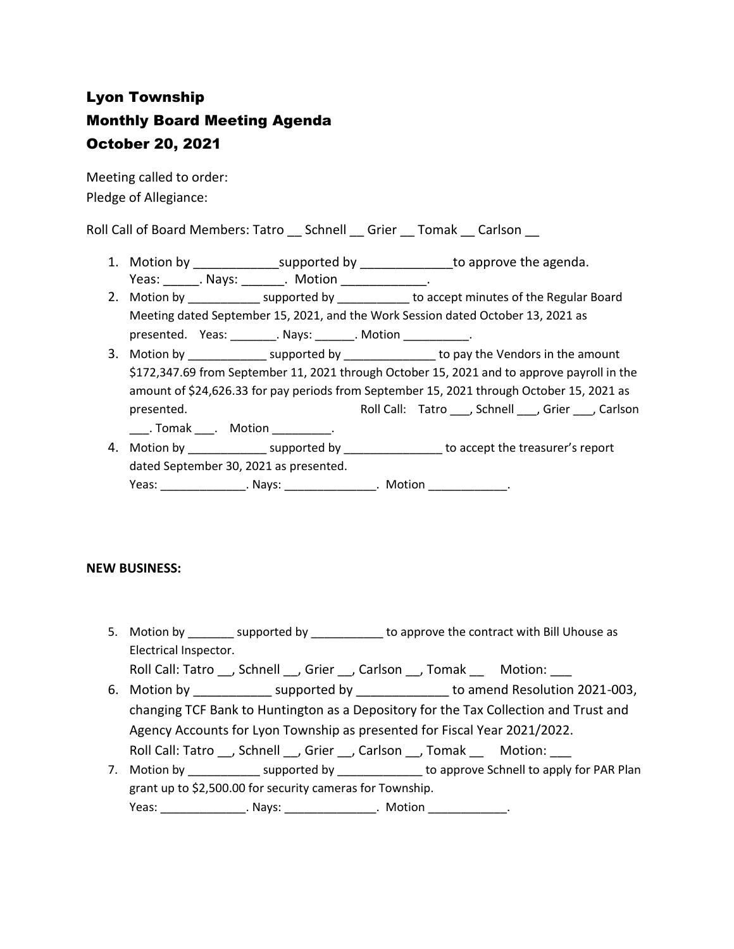## Lyon Township Monthly Board Meeting Agenda October 20, 2021

Meeting called to order: Pledge of Allegiance:

Roll Call of Board Members: Tatro \_\_ Schnell \_\_ Grier \_\_ Tomak \_\_ Carlson \_\_

- 1. Motion by \_\_\_\_\_\_\_\_\_\_\_\_\_\_\_\_supported by \_\_\_\_\_\_\_\_\_\_\_\_\_\_\_\_to approve the agenda. Yeas: Nays: Nays: Notion Neas: News, 2016
- 2. Motion by \_\_\_\_\_\_\_\_\_\_\_\_\_ supported by \_\_\_\_\_\_\_\_\_\_\_ to accept minutes of the Regular Board Meeting dated September 15, 2021, and the Work Session dated October 13, 2021 as presented. Yeas: \_\_\_\_\_\_\_\_. Nays: \_\_\_\_\_\_\_. Motion \_\_\_\_\_\_\_\_\_\_\_\_.
- 3. Motion by \_\_\_\_\_\_\_\_\_\_\_\_\_\_\_ supported by \_\_\_\_\_\_\_\_\_\_\_\_\_\_\_\_ to pay the Vendors in the amount \$172,347.69 from September 11, 2021 through October 15, 2021 and to approve payroll in the amount of \$24,626.33 for pay periods from September 15, 2021 through October 15, 2021 as presented. Tatro \_\_\_, Schnell \_\_, Grier \_\_\_, Carlson \_\_\_. Tomak \_\_\_. Motion \_\_\_\_\_\_\_\_\_.
- 4. Motion by \_\_\_\_\_\_\_\_\_\_\_\_\_\_\_ supported by \_\_\_\_\_\_\_\_\_\_\_\_\_\_\_\_ to accept the treasurer's report dated September 30, 2021 as presented. Yeas: \_\_\_\_\_\_\_\_\_\_\_\_\_\_\_\_. Nays: \_\_\_\_\_\_\_\_\_\_\_\_\_\_\_\_. Motion \_\_\_\_\_\_\_\_\_\_\_\_\_\_.

## **NEW BUSINESS:**

5. Motion by \_\_\_\_\_\_\_\_ supported by \_\_\_\_\_\_\_\_\_\_\_ to approve the contract with Bill Uhouse as Electrical Inspector.

Roll Call: Tatro \_\_, Schnell \_\_, Grier \_\_, Carlson \_\_, Tomak \_\_\_\_ Motion:

- 6. Motion by \_\_\_\_\_\_\_\_\_\_\_\_\_ supported by \_\_\_\_\_\_\_\_\_\_\_\_\_\_ to amend Resolution 2021-003, changing TCF Bank to Huntington as a Depository for the Tax Collection and Trust and Agency Accounts for Lyon Township as presented for Fiscal Year 2021/2022. Roll Call: Tatro \_\_, Schnell \_\_, Grier \_\_, Carlson \_\_, Tomak \_\_ Motion: \_\_\_
- 7. Motion by \_\_\_\_\_\_\_\_\_\_\_\_\_ supported by \_\_\_\_\_\_\_\_\_\_\_\_\_\_ to approve Schnell to apply for PAR Plan grant up to \$2,500.00 for security cameras for Township. Yeas: \_\_\_\_\_\_\_\_\_\_\_\_\_\_\_\_\_. Nays: \_\_\_\_\_\_\_\_\_\_\_\_\_\_\_\_\_\_. Motion \_\_\_\_\_\_\_\_\_\_\_\_\_\_\_.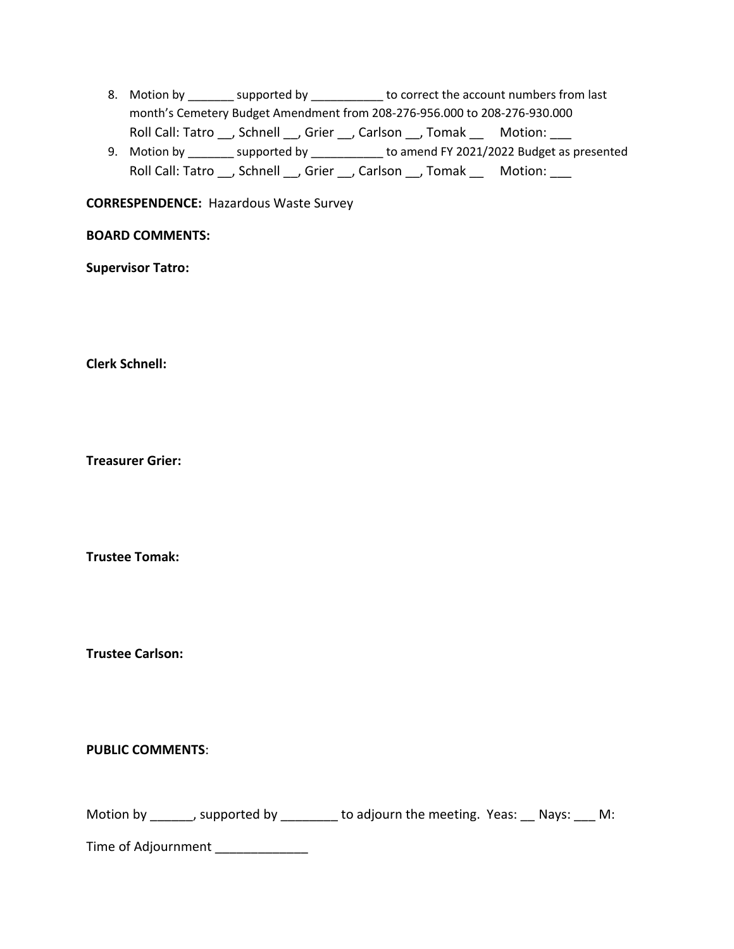- 8. Motion by \_\_\_\_\_\_\_\_ supported by \_\_\_\_\_\_\_\_\_\_\_ to correct the account numbers from last month's Cemetery Budget Amendment from 208-276-956.000 to 208-276-930.000 Roll Call: Tatro \_\_, Schnell \_\_, Grier \_\_, Carlson \_\_, Tomak \_\_ Motion: \_\_\_
- 9. Motion by \_\_\_\_\_\_\_ supported by \_\_\_\_\_\_\_\_\_\_\_ to amend FY 2021/2022 Budget as presented Roll Call: Tatro \_\_, Schnell \_\_, Grier \_\_, Carlson \_\_, Tomak \_\_ Motion: \_\_\_

**CORRESPENDENCE:** Hazardous Waste Survey

## **BOARD COMMENTS:**

**Supervisor Tatro:**

**Clerk Schnell:** 

**Treasurer Grier:**

**Trustee Tomak:**

**Trustee Carlson:**

**PUBLIC COMMENTS**:

| Motion by | , supported by | to adjourn the meeting. Yeas: __ Nays: ___ M: |  |  |  |  |
|-----------|----------------|-----------------------------------------------|--|--|--|--|
|-----------|----------------|-----------------------------------------------|--|--|--|--|

Time of Adjournment \_\_\_\_\_\_\_\_\_\_\_\_\_\_